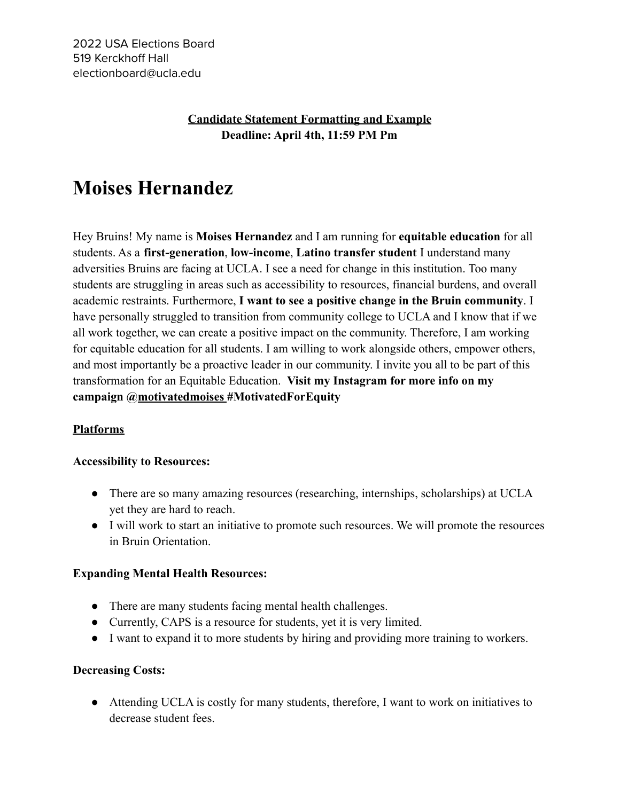# **Candidate Statement Formatting and Example Deadline: April 4th, 11:59 PM Pm**

# **Moises Hernandez**

Hey Bruins! My name is **Moises Hernandez** and I am running for **equitable education** for all students. As a **first-generation**, **low-income**, **Latino transfer student** I understand many adversities Bruins are facing at UCLA. I see a need for change in this institution. Too many students are struggling in areas such as accessibility to resources, financial burdens, and overall academic restraints. Furthermore, **I want to see a positive change in the Bruin community**. I have personally struggled to transition from community college to UCLA and I know that if we all work together, we can create a positive impact on the community. Therefore, I am working for equitable education for all students. I am willing to work alongside others, empower others, and most importantly be a proactive leader in our community. I invite you all to be part of this transformation for an Equitable Education. **Visit my Instagram for more info on my campaign @motivatedmoises #MotivatedForEquity**

## **Platforms**

#### **Accessibility to Resources:**

- There are so many amazing resources (researching, internships, scholarships) at UCLA yet they are hard to reach.
- I will work to start an initiative to promote such resources. We will promote the resources in Bruin Orientation.

#### **Expanding Mental Health Resources:**

- There are many students facing mental health challenges.
- Currently, CAPS is a resource for students, yet it is very limited.
- I want to expand it to more students by hiring and providing more training to workers.

#### **Decreasing Costs:**

• Attending UCLA is costly for many students, therefore, I want to work on initiatives to decrease student fees.